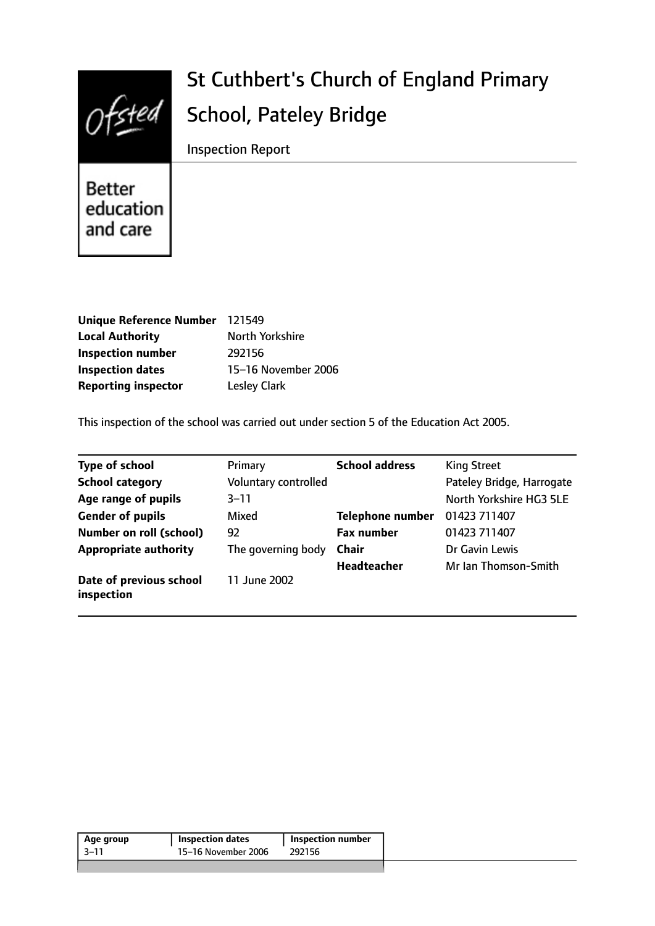

# St Cuthbert's Church of England Primary School, Pateley Bridge

Inspection Report

**Better** education and care

| Unique Reference Number 121549 |                     |
|--------------------------------|---------------------|
| <b>Local Authority</b>         | North Yorkshire     |
| <b>Inspection number</b>       | 292156              |
| <b>Inspection dates</b>        | 15-16 November 2006 |
| <b>Reporting inspector</b>     | <b>Lesley Clark</b> |

This inspection of the school was carried out under section 5 of the Education Act 2005.

| <b>Type of school</b>                 | Primary              | <b>School address</b>   | <b>King Street</b>        |
|---------------------------------------|----------------------|-------------------------|---------------------------|
| <b>School category</b>                | Voluntary controlled |                         | Pateley Bridge, Harrogate |
| Age range of pupils                   | 3–11                 |                         | North Yorkshire HG3 5LE   |
| <b>Gender of pupils</b>               | Mixed                | <b>Telephone number</b> | 01423 711407              |
| <b>Number on roll (school)</b>        | 92                   | <b>Fax number</b>       | 01423 711407              |
| <b>Appropriate authority</b>          | The governing body   | <b>Chair</b>            | Dr Gavin Lewis            |
|                                       |                      | <b>Headteacher</b>      | Mr Ian Thomson-Smith      |
| Date of previous school<br>inspection | 11 June 2002         |                         |                           |

| Age group | <b>Inspection dates</b> | Inspection number |
|-----------|-------------------------|-------------------|
| -3–11     | 15-16 November 2006     | 292156            |
|           |                         |                   |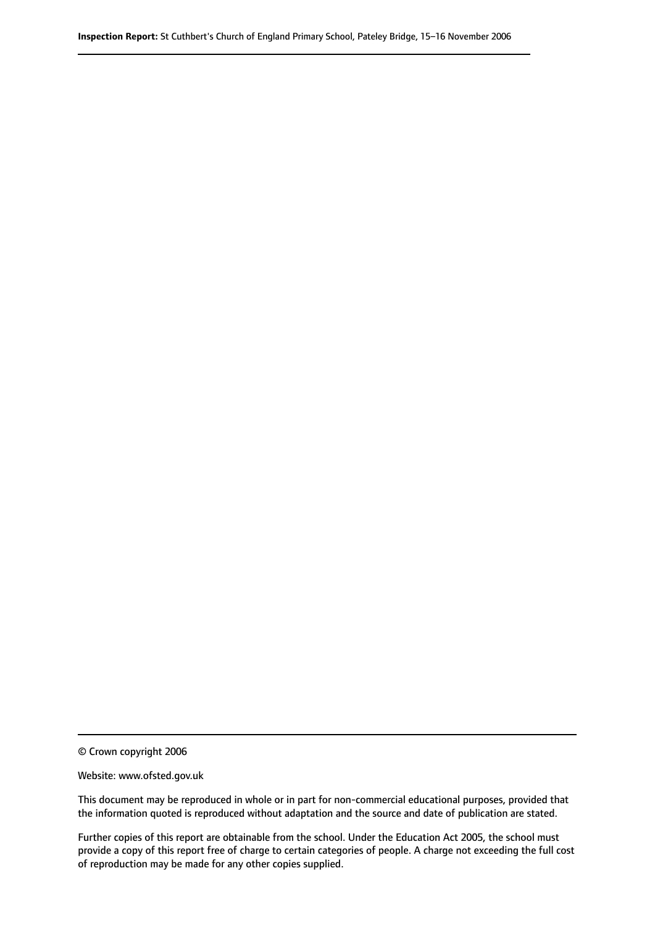© Crown copyright 2006

Website: www.ofsted.gov.uk

This document may be reproduced in whole or in part for non-commercial educational purposes, provided that the information quoted is reproduced without adaptation and the source and date of publication are stated.

Further copies of this report are obtainable from the school. Under the Education Act 2005, the school must provide a copy of this report free of charge to certain categories of people. A charge not exceeding the full cost of reproduction may be made for any other copies supplied.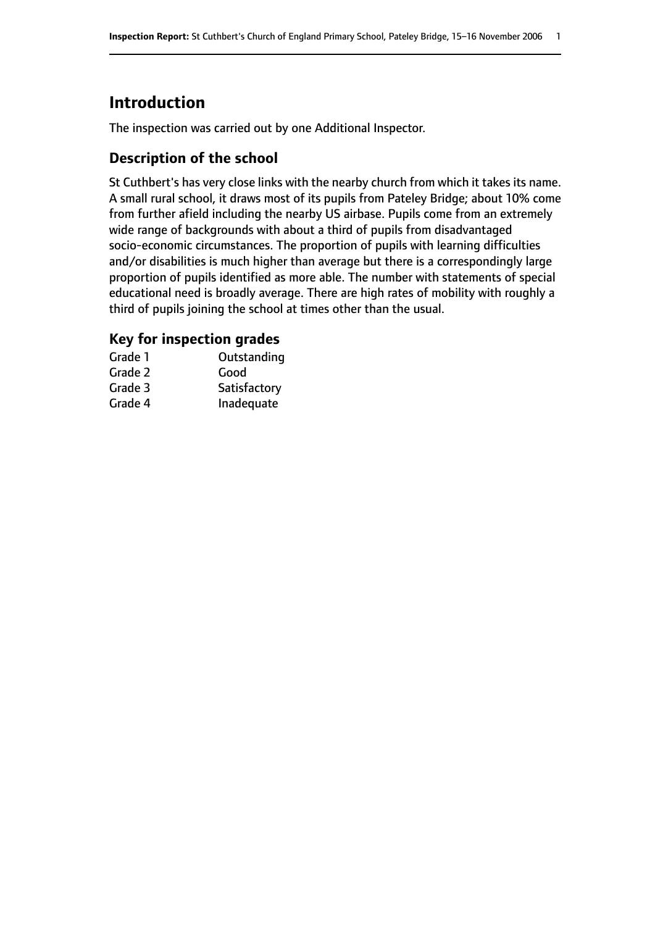# **Introduction**

The inspection was carried out by one Additional Inspector.

# **Description of the school**

St Cuthbert's has very close links with the nearby church from which it takes its name. A small rural school, it draws most of its pupils from Pateley Bridge; about 10% come from further afield including the nearby US airbase. Pupils come from an extremely wide range of backgrounds with about a third of pupils from disadvantaged socio-economic circumstances. The proportion of pupils with learning difficulties and/or disabilities is much higher than average but there is a correspondingly large proportion of pupils identified as more able. The number with statements of special educational need is broadly average. There are high rates of mobility with roughly a third of pupils joining the school at times other than the usual.

# **Key for inspection grades**

| Grade 1 | Outstanding  |
|---------|--------------|
| Grade 2 | Good         |
| Grade 3 | Satisfactory |
| Grade 4 | Inadequate   |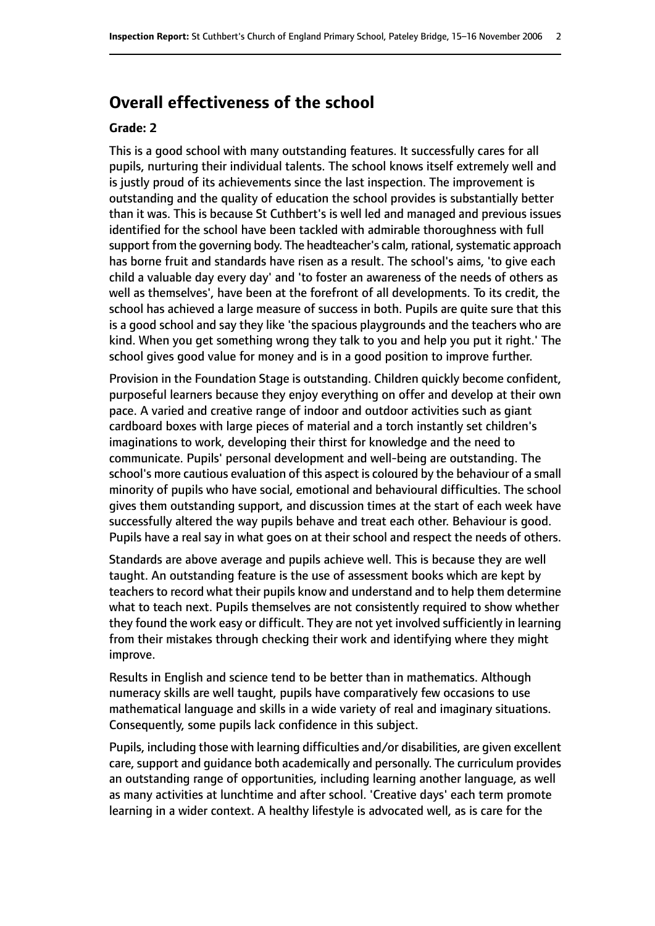# **Overall effectiveness of the school**

#### **Grade: 2**

This is a good school with many outstanding features. It successfully cares for all pupils, nurturing their individual talents. The school knows itself extremely well and is justly proud of its achievements since the last inspection. The improvement is outstanding and the quality of education the school provides is substantially better than it was. This is because St Cuthbert's is well led and managed and previous issues identified for the school have been tackled with admirable thoroughness with full support from the governing body. The headteacher's calm, rational, systematic approach has borne fruit and standards have risen as a result. The school's aims, 'to give each child a valuable day every day' and 'to foster an awareness of the needs of others as well as themselves', have been at the forefront of all developments. To its credit, the school has achieved a large measure of success in both. Pupils are quite sure that this is a good school and say they like 'the spacious playgrounds and the teachers who are kind. When you get something wrong they talk to you and help you put it right.' The school gives good value for money and is in a good position to improve further.

Provision in the Foundation Stage is outstanding. Children quickly become confident, purposeful learners because they enjoy everything on offer and develop at their own pace. A varied and creative range of indoor and outdoor activities such as giant cardboard boxes with large pieces of material and a torch instantly set children's imaginations to work, developing their thirst for knowledge and the need to communicate. Pupils' personal development and well-being are outstanding. The school's more cautious evaluation of this aspect is coloured by the behaviour of a small minority of pupils who have social, emotional and behavioural difficulties. The school gives them outstanding support, and discussion times at the start of each week have successfully altered the way pupils behave and treat each other. Behaviour is good. Pupils have a real say in what goes on at their school and respect the needs of others.

Standards are above average and pupils achieve well. This is because they are well taught. An outstanding feature is the use of assessment books which are kept by teachers to record what their pupils know and understand and to help them determine what to teach next. Pupils themselves are not consistently required to show whether they found the work easy or difficult. They are not yet involved sufficiently in learning from their mistakes through checking their work and identifying where they might improve.

Results in English and science tend to be better than in mathematics. Although numeracy skills are well taught, pupils have comparatively few occasions to use mathematical language and skills in a wide variety of real and imaginary situations. Consequently, some pupils lack confidence in this subject.

Pupils, including those with learning difficulties and/or disabilities, are given excellent care, support and guidance both academically and personally. The curriculum provides an outstanding range of opportunities, including learning another language, as well as many activities at lunchtime and after school. 'Creative days' each term promote learning in a wider context. A healthy lifestyle is advocated well, as is care for the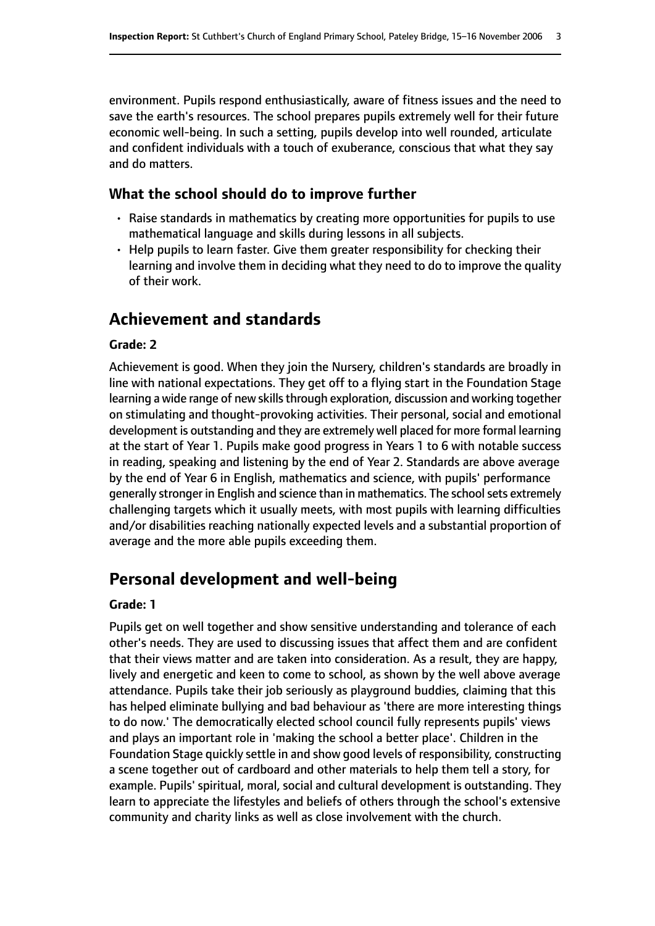environment. Pupils respond enthusiastically, aware of fitness issues and the need to save the earth's resources. The school prepares pupils extremely well for their future economic well-being. In such a setting, pupils develop into well rounded, articulate and confident individuals with a touch of exuberance, conscious that what they say and do matters.

#### **What the school should do to improve further**

- Raise standards in mathematics by creating more opportunities for pupils to use mathematical language and skills during lessons in all subjects.
- Help pupils to learn faster. Give them greater responsibility for checking their learning and involve them in deciding what they need to do to improve the quality of their work.

# **Achievement and standards**

#### **Grade: 2**

Achievement is good. When they join the Nursery, children's standards are broadly in line with national expectations. They get off to a flying start in the Foundation Stage learning a wide range of new skills through exploration, discussion and working together on stimulating and thought-provoking activities. Their personal, social and emotional development is outstanding and they are extremely well placed for more formal learning at the start of Year 1. Pupils make good progress in Years 1 to 6 with notable success in reading, speaking and listening by the end of Year 2. Standards are above average by the end of Year 6 in English, mathematics and science, with pupils' performance generally stronger in English and science than in mathematics. The school sets extremely challenging targets which it usually meets, with most pupils with learning difficulties and/or disabilities reaching nationally expected levels and a substantial proportion of average and the more able pupils exceeding them.

# **Personal development and well-being**

#### **Grade: 1**

Pupils get on well together and show sensitive understanding and tolerance of each other's needs. They are used to discussing issues that affect them and are confident that their views matter and are taken into consideration. As a result, they are happy, lively and energetic and keen to come to school, as shown by the well above average attendance. Pupils take their job seriously as playground buddies, claiming that this has helped eliminate bullying and bad behaviour as 'there are more interesting things to do now.' The democratically elected school council fully represents pupils' views and plays an important role in 'making the school a better place'. Children in the Foundation Stage quickly settle in and show good levels of responsibility, constructing a scene together out of cardboard and other materials to help them tell a story, for example. Pupils' spiritual, moral, social and cultural development is outstanding. They learn to appreciate the lifestyles and beliefs of others through the school's extensive community and charity links as well as close involvement with the church.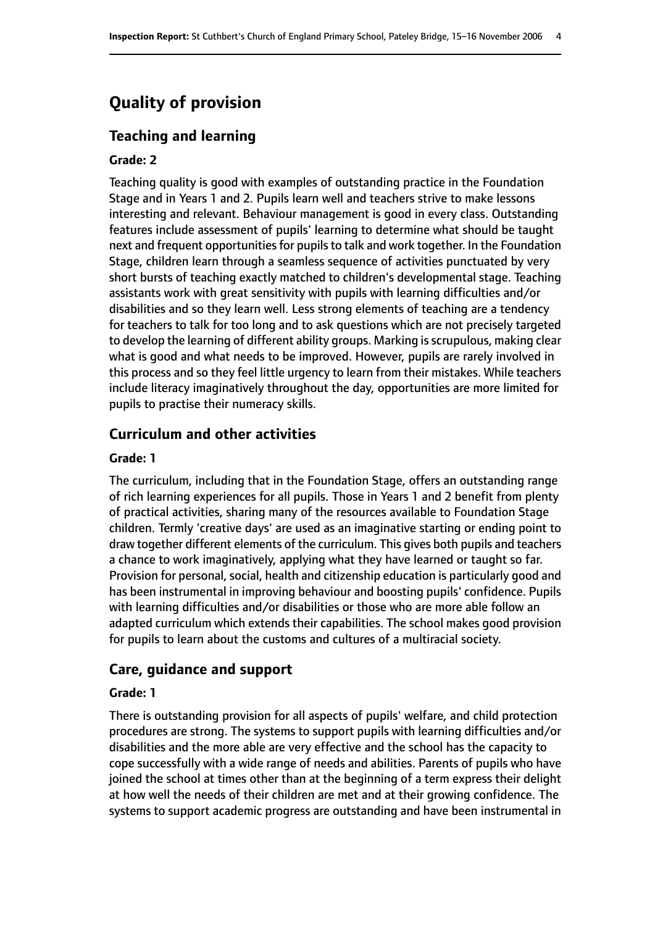# **Quality of provision**

# **Teaching and learning**

#### **Grade: 2**

Teaching quality is good with examples of outstanding practice in the Foundation Stage and in Years 1 and 2. Pupils learn well and teachers strive to make lessons interesting and relevant. Behaviour management is good in every class. Outstanding features include assessment of pupils' learning to determine what should be taught next and frequent opportunities for pupils to talk and work together. In the Foundation Stage, children learn through a seamless sequence of activities punctuated by very short bursts of teaching exactly matched to children's developmental stage. Teaching assistants work with great sensitivity with pupils with learning difficulties and/or disabilities and so they learn well. Less strong elements of teaching are a tendency for teachers to talk for too long and to ask questions which are not precisely targeted to develop the learning of different ability groups. Marking is scrupulous, making clear what is good and what needs to be improved. However, pupils are rarely involved in this process and so they feel little urgency to learn from their mistakes. While teachers include literacy imaginatively throughout the day, opportunities are more limited for pupils to practise their numeracy skills.

# **Curriculum and other activities**

#### **Grade: 1**

The curriculum, including that in the Foundation Stage, offers an outstanding range of rich learning experiences for all pupils. Those in Years 1 and 2 benefit from plenty of practical activities, sharing many of the resources available to Foundation Stage children. Termly 'creative days' are used as an imaginative starting or ending point to draw together different elements of the curriculum. This gives both pupils and teachers a chance to work imaginatively, applying what they have learned or taught so far. Provision for personal, social, health and citizenship education is particularly good and has been instrumental in improving behaviour and boosting pupils' confidence. Pupils with learning difficulties and/or disabilities or those who are more able follow an adapted curriculum which extends their capabilities. The school makes good provision for pupils to learn about the customs and cultures of a multiracial society.

#### **Care, guidance and support**

#### **Grade: 1**

There is outstanding provision for all aspects of pupils' welfare, and child protection procedures are strong. The systems to support pupils with learning difficulties and/or disabilities and the more able are very effective and the school has the capacity to cope successfully with a wide range of needs and abilities. Parents of pupils who have joined the school at times other than at the beginning of a term express their delight at how well the needs of their children are met and at their growing confidence. The systems to support academic progress are outstanding and have been instrumental in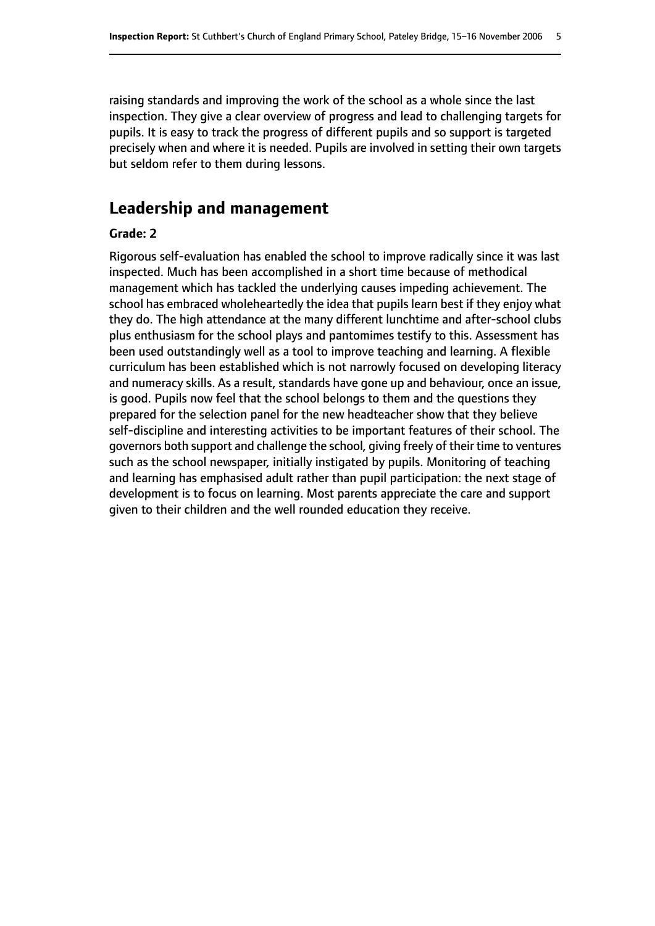raising standards and improving the work of the school as a whole since the last inspection. They give a clear overview of progress and lead to challenging targets for pupils. It is easy to track the progress of different pupils and so support is targeted precisely when and where it is needed. Pupils are involved in setting their own targets but seldom refer to them during lessons.

# **Leadership and management**

#### **Grade: 2**

Rigorous self-evaluation has enabled the school to improve radically since it was last inspected. Much has been accomplished in a short time because of methodical management which has tackled the underlying causes impeding achievement. The school has embraced wholeheartedly the idea that pupils learn best if they enjoy what they do. The high attendance at the many different lunchtime and after-school clubs plus enthusiasm for the school plays and pantomimes testify to this. Assessment has been used outstandingly well as a tool to improve teaching and learning. A flexible curriculum has been established which is not narrowly focused on developing literacy and numeracy skills. As a result, standards have gone up and behaviour, once an issue, is good. Pupils now feel that the school belongs to them and the questions they prepared for the selection panel for the new headteacher show that they believe self-discipline and interesting activities to be important features of their school. The governors both support and challenge the school, giving freely of their time to ventures such as the school newspaper, initially instigated by pupils. Monitoring of teaching and learning has emphasised adult rather than pupil participation: the next stage of development is to focus on learning. Most parents appreciate the care and support given to their children and the well rounded education they receive.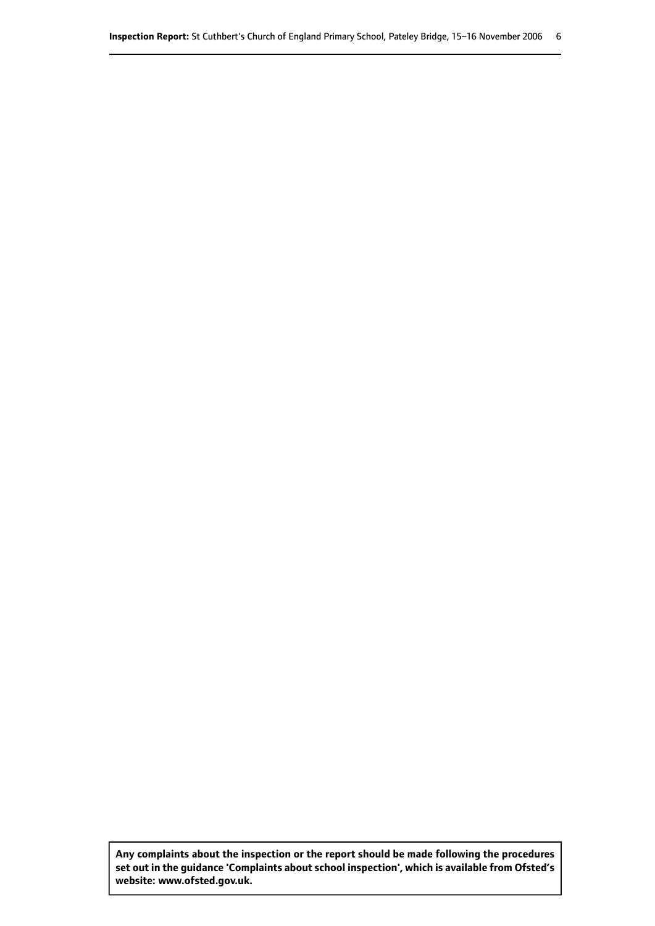**Any complaints about the inspection or the report should be made following the procedures set out inthe guidance 'Complaints about school inspection', whichis available from Ofsted's website: www.ofsted.gov.uk.**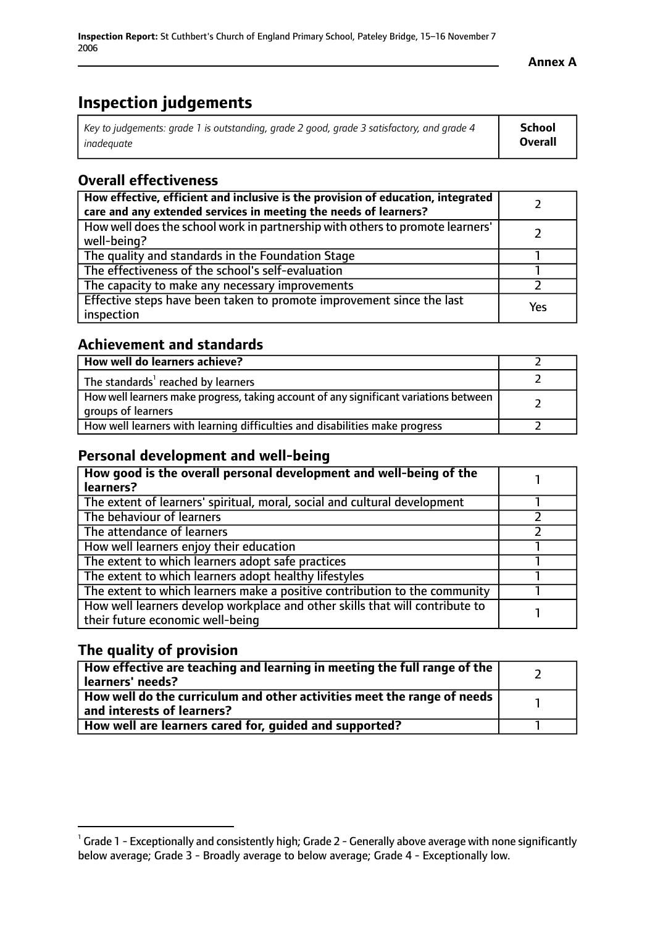# **Inspection judgements**

| Key to judgements: grade 1 is outstanding, grade 2 good, grade 3 satisfactory, and grade 4 | School         |
|--------------------------------------------------------------------------------------------|----------------|
| inadeauate                                                                                 | <b>Overall</b> |

# **Overall effectiveness**

| How effective, efficient and inclusive is the provision of education, integrated<br>care and any extended services in meeting the needs of learners? |     |
|------------------------------------------------------------------------------------------------------------------------------------------------------|-----|
| How well does the school work in partnership with others to promote learners'<br>well-being?                                                         |     |
| The quality and standards in the Foundation Stage                                                                                                    |     |
| The effectiveness of the school's self-evaluation                                                                                                    |     |
| The capacity to make any necessary improvements                                                                                                      |     |
| Effective steps have been taken to promote improvement since the last<br>inspection                                                                  | Yes |

# **Achievement and standards**

| How well do learners achieve?                                                                               |  |
|-------------------------------------------------------------------------------------------------------------|--|
| The standards <sup>1</sup> reached by learners                                                              |  |
| How well learners make progress, taking account of any significant variations between<br>groups of learners |  |
| How well learners with learning difficulties and disabilities make progress                                 |  |

### **Personal development and well-being**

| How good is the overall personal development and well-being of the<br>learners?                                  |  |
|------------------------------------------------------------------------------------------------------------------|--|
| The extent of learners' spiritual, moral, social and cultural development                                        |  |
| The behaviour of learners                                                                                        |  |
| The attendance of learners                                                                                       |  |
| How well learners enjoy their education                                                                          |  |
| The extent to which learners adopt safe practices                                                                |  |
| The extent to which learners adopt healthy lifestyles                                                            |  |
| The extent to which learners make a positive contribution to the community                                       |  |
| How well learners develop workplace and other skills that will contribute to<br>their future economic well-being |  |

# **The quality of provision**

| How effective are teaching and learning in meeting the full range of the<br>learners' needs?          |  |
|-------------------------------------------------------------------------------------------------------|--|
| How well do the curriculum and other activities meet the range of needs<br>and interests of learners? |  |
| How well are learners cared for, guided and supported?                                                |  |

 $^1$  Grade 1 - Exceptionally and consistently high; Grade 2 - Generally above average with none significantly below average; Grade 3 - Broadly average to below average; Grade 4 - Exceptionally low.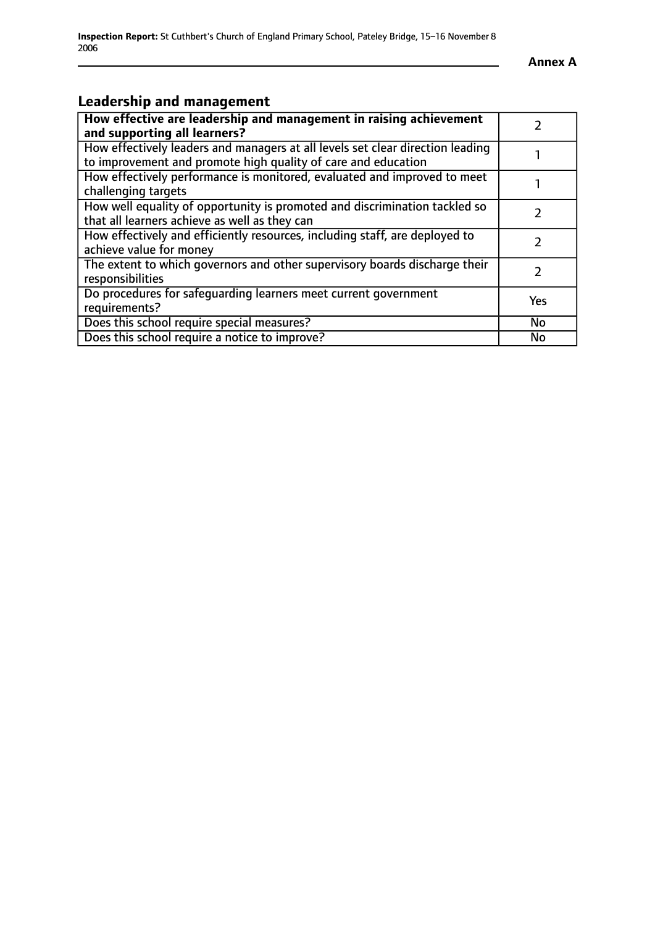# **Leadership and management**

| How effective are leadership and management in raising achievement<br>and supporting all learners?                                              |     |
|-------------------------------------------------------------------------------------------------------------------------------------------------|-----|
| How effectively leaders and managers at all levels set clear direction leading<br>to improvement and promote high quality of care and education |     |
| How effectively performance is monitored, evaluated and improved to meet<br>challenging targets                                                 |     |
| How well equality of opportunity is promoted and discrimination tackled so<br>that all learners achieve as well as they can                     |     |
| How effectively and efficiently resources, including staff, are deployed to<br>achieve value for money                                          |     |
| The extent to which governors and other supervisory boards discharge their<br>responsibilities                                                  | 7   |
| Do procedures for safequarding learners meet current government<br>requirements?                                                                | Yes |
| Does this school require special measures?                                                                                                      | No  |
| Does this school require a notice to improve?                                                                                                   | No  |